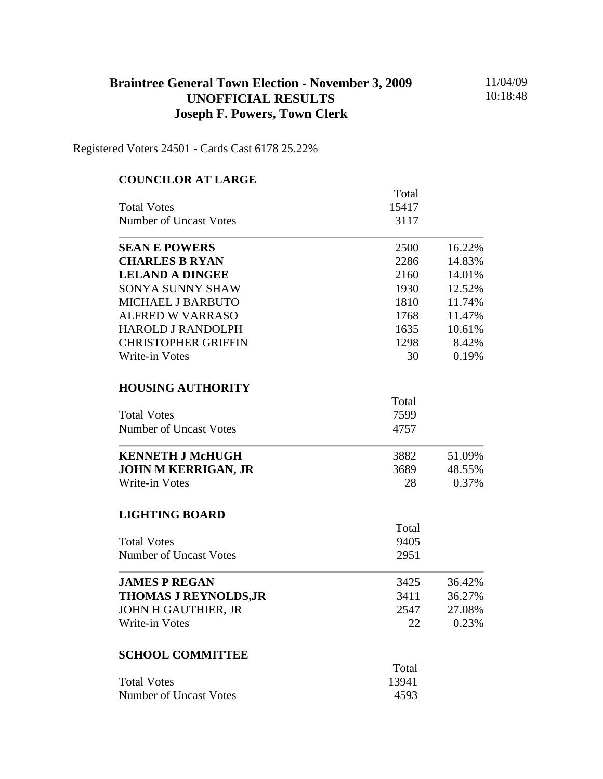## **Braintree General Town Election - November 3, 2009 UNOFFICIAL RESULTS Joseph F. Powers, Town Clerk**

11/04/09 10:18:48

Registered Voters 24501 - Cards Cast 6178 25.22%

| <b>COUNCILOR AT LARGE</b>     |       |        |
|-------------------------------|-------|--------|
|                               | Total |        |
| <b>Total Votes</b>            | 15417 |        |
| <b>Number of Uncast Votes</b> | 3117  |        |
| <b>SEAN E POWERS</b>          | 2500  | 16.22% |
| <b>CHARLES B RYAN</b>         | 2286  | 14.83% |
| <b>LELAND A DINGEE</b>        | 2160  | 14.01% |
| <b>SONYA SUNNY SHAW</b>       | 1930  | 12.52% |
| <b>MICHAEL J BARBUTO</b>      | 1810  | 11.74% |
| <b>ALFRED W VARRASO</b>       | 1768  | 11.47% |
| <b>HAROLD J RANDOLPH</b>      | 1635  | 10.61% |
| <b>CHRISTOPHER GRIFFIN</b>    | 1298  | 8.42%  |
| Write-in Votes                | 30    | 0.19%  |
| <b>HOUSING AUTHORITY</b>      |       |        |
|                               | Total |        |
| <b>Total Votes</b>            | 7599  |        |
| <b>Number of Uncast Votes</b> | 4757  |        |
| <b>KENNETH J McHUGH</b>       | 3882  | 51.09% |
| <b>JOHN M KERRIGAN, JR</b>    | 3689  | 48.55% |
| <b>Write-in Votes</b>         | 28    | 0.37%  |
| <b>LIGHTING BOARD</b>         |       |        |
|                               | Total |        |
| <b>Total Votes</b>            | 9405  |        |
| <b>Number of Uncast Votes</b> | 2951  |        |
| <b>JAMES P REGAN</b>          | 3425  | 36.42% |
| <b>THOMAS J REYNOLDS, JR</b>  | 3411  | 36.27% |
| <b>JOHN H GAUTHIER, JR</b>    | 2547  | 27.08% |
| <b>Write-in Votes</b>         | 22    | 0.23%  |
| <b>SCHOOL COMMITTEE</b>       |       |        |
|                               | Total |        |
| <b>Total Votes</b>            | 13941 |        |
| <b>Number of Uncast Votes</b> | 4593  |        |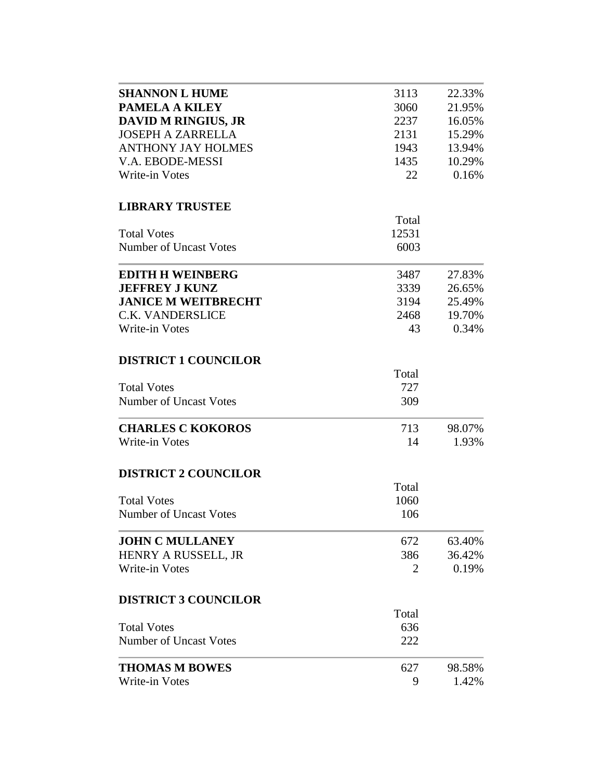| <b>SHANNON L HUME</b>         | 3113  | 22.33% |
|-------------------------------|-------|--------|
| <b>PAMELA A KILEY</b>         |       |        |
|                               | 3060  | 21.95% |
| <b>DAVID M RINGIUS, JR</b>    | 2237  | 16.05% |
| <b>JOSEPH A ZARRELLA</b>      | 2131  | 15.29% |
| <b>ANTHONY JAY HOLMES</b>     | 1943  | 13.94% |
| V.A. EBODE-MESSI              | 1435  | 10.29% |
| <b>Write-in Votes</b>         | 22    | 0.16%  |
|                               |       |        |
| <b>LIBRARY TRUSTEE</b>        | Total |        |
|                               |       |        |
| <b>Total Votes</b>            | 12531 |        |
| Number of Uncast Votes        | 6003  |        |
| <b>EDITH H WEINBERG</b>       | 3487  | 27.83% |
| <b>JEFFREY J KUNZ</b>         | 3339  | 26.65% |
| <b>JANICE M WEITBRECHT</b>    | 3194  | 25.49% |
| <b>C.K. VANDERSLICE</b>       | 2468  | 19.70% |
| Write-in Votes                | 43    | 0.34%  |
|                               |       |        |
| <b>DISTRICT 1 COUNCILOR</b>   |       |        |
|                               | Total |        |
| <b>Total Votes</b>            | 727   |        |
| <b>Number of Uncast Votes</b> | 309   |        |
| <b>CHARLES C KOKOROS</b>      | 713   | 98.07% |
| <b>Write-in Votes</b>         | 14    | 1.93%  |
| <b>DISTRICT 2 COUNCILOR</b>   |       |        |
|                               | Total |        |
|                               |       |        |
| <b>Total Votes</b>            | 1060  |        |
| <b>Number of Uncast Votes</b> | 106   |        |
| <b>JOHN C MULLANEY</b>        | 672   | 63.40% |
| HENRY A RUSSELL, JR           | 386   | 36.42% |
| Write-in Votes                | 2     | 0.19%  |
| <b>DISTRICT 3 COUNCILOR</b>   |       |        |
|                               | Total |        |
|                               |       |        |
| <b>Total Votes</b>            | 636   |        |
| Number of Uncast Votes        | 222   |        |
| <b>THOMAS M BOWES</b>         | 627   | 98.58% |
| Write-in Votes                | 9     | 1.42%  |